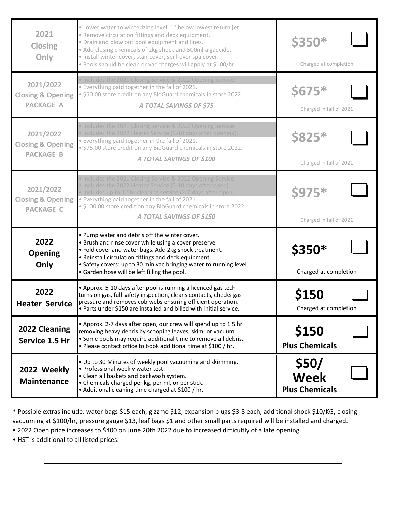| 2021<br><b>Closing</b><br>Only                                | . Lower water to winterizing level, 1" below lowest return jet.<br>. Remove circulation fittings and deck equipment.<br>· Drain and blow out pool equipment and lines.<br>• Add closing chemicals of 2kg shock and 500ml algaecide.<br>· Install winter cover, stair cover, spill-over spa cover.<br>. Pools should be clean or vac charges will apply at \$100/hr. | <b>\$350*</b><br>Charged at completion   |
|---------------------------------------------------------------|---------------------------------------------------------------------------------------------------------------------------------------------------------------------------------------------------------------------------------------------------------------------------------------------------------------------------------------------------------------------|------------------------------------------|
| 2021/2022<br><b>Closing &amp; Opening</b><br><b>PACKAGE A</b> | Includes the 2021 Closing Service & 2022 Opening Service.<br>. Everything paid together in the fall of 2021.<br>. \$50.00 store credit on any BioGuard chemicals in store 2022.<br>A TOTAL SAVINGS OF \$75                                                                                                                                                          | $$675*$<br>Charged in fall of 2021       |
| 2021/2022<br><b>Closing &amp; Opening</b><br><b>PACKAGE B</b> | Includes the 2021 Closing Service & 2022 Opening Service.<br>Includes the 2022 Heater Service (5-10 days after opening).<br>. Everything paid together in the fall of 2021.<br>· \$75.00 store credit on any BioGuard chemicals in store 2022.<br>A TOTAL SAVINGS OF \$100                                                                                          | <b>\$825*</b><br>Charged in fall of 2021 |
| 2021/2022<br><b>Closing &amp; Opening</b><br><b>PACKAGE C</b> | Includes the 2021 Closing Service & 2022 Opening Service.<br>Includes the 2022 Heater Service (5-10 days after open).<br>• Includes up to 1.5hr cleaning service (2-7 days after open).<br>. Everything paid together in the fall of 2021.<br>· \$100.00 store credit on any BioGuard chemicals in store 2022.<br>A TOTAL SAVINGS OF \$150                          | <b>\$975*</b><br>Charged in fall of 2021 |
| 2022<br><b>Opening</b><br>Only                                | . Pump water and debris off the winter cover.<br>• Brush and rinse cover while using a cover preserve.<br>. Fold cover and water bags. Add 2kg shock treatment.<br>• Reinstall circulation fittings and deck equipment.<br>• Safety covers: up to 30 min vac bringing water to running level.<br>• Garden hose will be left filling the pool.                       | \$350*<br>Charged at completion          |
| 2022<br><b>Heater Service</b>                                 | • Approx. 5-10 days after pool is running a licenced gas tech<br>turns on gas, full safety inspection, cleans contacts, checks gas<br>pressure and removes cob webs ensuring efficient operation.<br>. Parts under \$150 are installed and billed with initial service.                                                                                             | <b>\$150</b><br>Charged at completion    |
| 2022 Cleaning<br>Service 1.5 Hr                               | • Approx. 2-7 days after open, our crew will spend up to 1.5 hr<br>removing heavy debris by scooping leaves, skim, or vacuum.<br>• Some pools may require additional time to remove all debris.<br>. Please contact office to book additional time at \$100 / hr.                                                                                                   | \$150<br><b>Plus Chemicals</b>           |
| 2022 Weekly<br><b>Maintenance</b>                             | . Up to 30 Minutes of weekly pool vacuuming and skimming.<br>• Professional weekly water test.<br>• Clean all baskets and backwash system.<br>• Chemicals charged per kg, per ml, or per stick.                                                                                                                                                                     | \$50/<br><b>Week</b>                     |

\* Possible extras include: water bags \$15 each, gizzmo \$12, expansion plugs \$3-8 each, additional shock \$10/KG, closing vacuuming at \$100/hr, pressure gauge \$13, leaf bags \$1 and other small parts required will be installed and charged.

• 2022 Open price increases to \$400 on June 20th 2022 due to increased difficultly of a late opening.

• HST is additional to all listed prices.